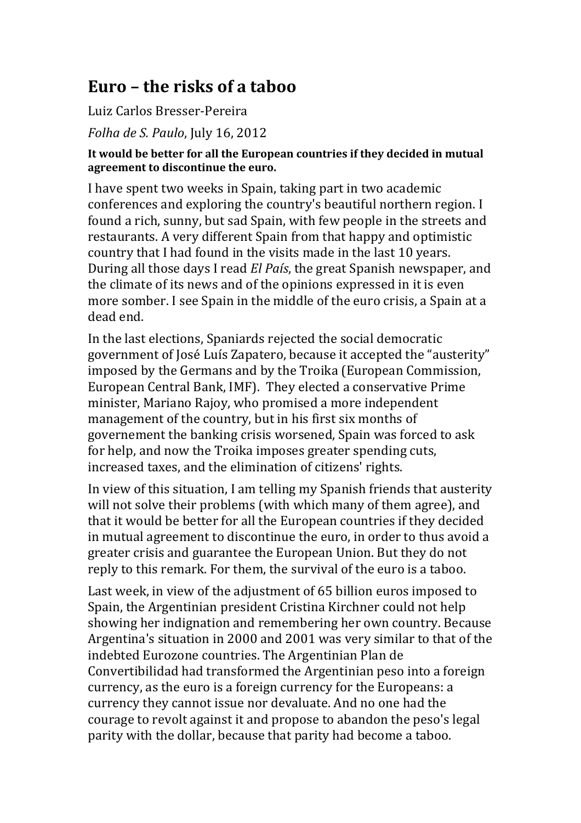## Euro – the risks of a taboo

## Luiz Carlos Bresser-Pereira

*Folha de S. Paulo*, July 16, 2012

## It would be better for all the European countries if they decided in mutual **agreement to discontinue the euro.**

I have spent two weeks in Spain, taking part in two academic conferences and exploring the country's beautiful northern region. I found a rich, sunny, but sad Spain, with few people in the streets and restaurants. A very different Spain from that happy and optimistic country that I had found in the visits made in the last 10 years. During all those days I read *El País*, the great Spanish newspaper, and the climate of its news and of the opinions expressed in it is even more somber. I see Spain in the middle of the euro crisis, a Spain at a dead end.

In the last elections, Spaniards rejected the social democratic government of José Luís Zapatero, because it accepted the "austerity" imposed by the Germans and by the Troika (European Commission, European Central Bank, IMF). They elected a conservative Prime minister, Mariano Rajoy, who promised a more independent management of the country, but in his first six months of governement the banking crisis worsened, Spain was forced to ask for help, and now the Troika imposes greater spending cuts, increased taxes, and the elimination of citizens' rights.

In view of this situation, I am telling my Spanish friends that austerity will not solve their problems (with which many of them agree), and that it would be better for all the European countries if they decided in mutual agreement to discontinue the euro, in order to thus avoid a greater crisis and guarantee the European Union. But they do not reply to this remark. For them, the survival of the euro is a taboo.

Last week, in view of the adjustment of 65 billion euros imposed to Spain, the Argentinian president Cristina Kirchner could not help showing her indignation and remembering her own country. Because Argentina's situation in 2000 and 2001 was very similar to that of the indebted Eurozone countries. The Argentinian Plan de Convertibilidad had transformed the Argentinian peso into a foreign currency, as the euro is a foreign currency for the Europeans: a currency they cannot issue nor devaluate. And no one had the courage to revolt against it and propose to abandon the peso's legal parity with the dollar, because that parity had become a taboo.